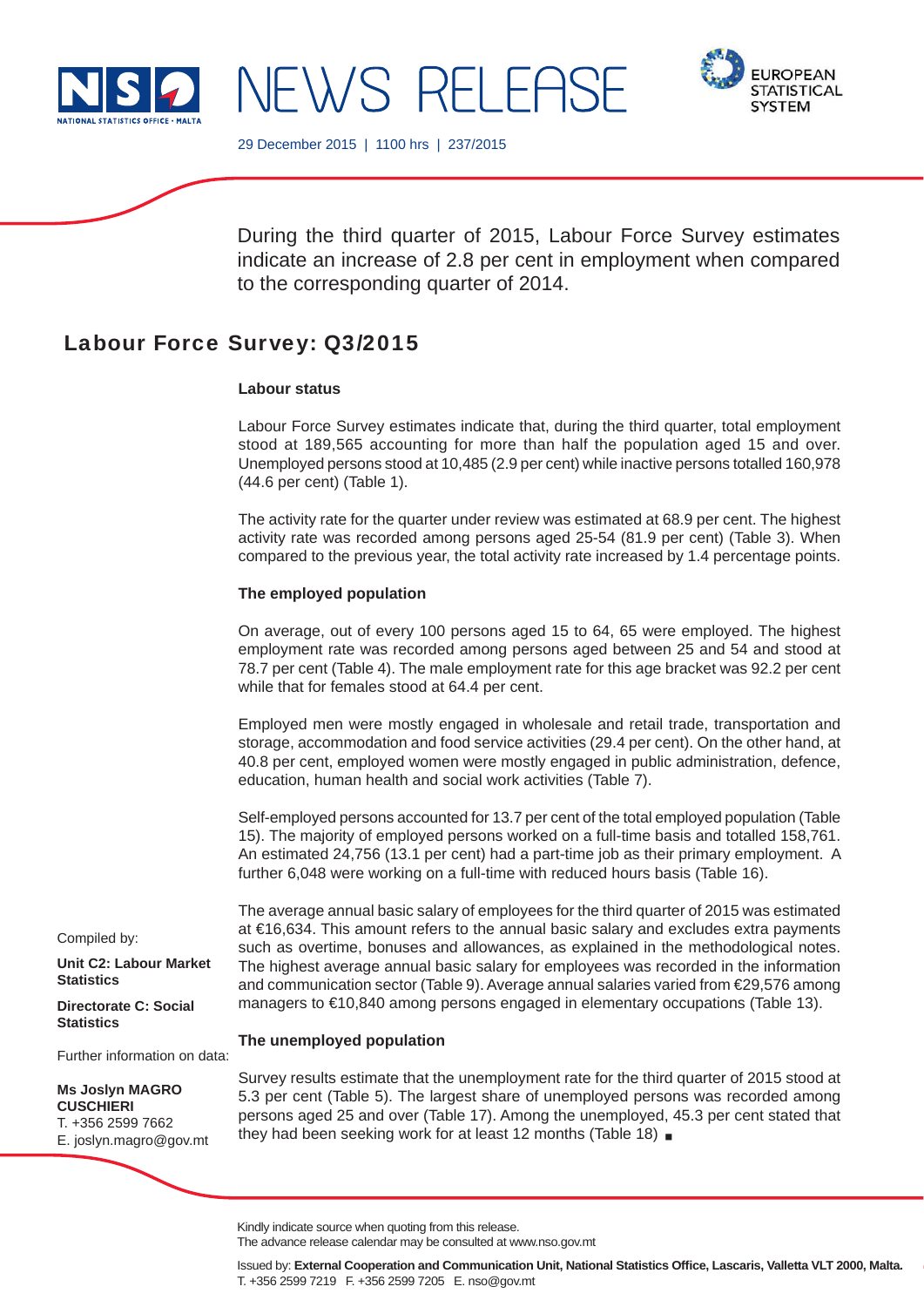





29 December 2015 | 1100 hrs | 237/2015

During the third quarter of 2015, Labour Force Survey estimates indicate an increase of 2.8 per cent in employment when compared to the corresponding quarter of 2014.

# Labour Force Survey: Q3/2015

# **Labour status**

Labour Force Survey estimates indicate that, during the third quarter, total employment stood at 189,565 accounting for more than half the population aged 15 and over. Unemployed persons stood at 10,485 (2.9 per cent) while inactive persons totalled 160,978 (44.6 per cent) (Table 1).

The activity rate for the quarter under review was estimated at 68.9 per cent. The highest activity rate was recorded among persons aged 25-54 (81.9 per cent) (Table 3). When compared to the previous year, the total activity rate increased by 1.4 percentage points.

# **The employed population**

On average, out of every 100 persons aged 15 to 64, 65 were employed. The highest employment rate was recorded among persons aged between 25 and 54 and stood at 78.7 per cent (Table 4). The male employment rate for this age bracket was 92.2 per cent while that for females stood at 64.4 per cent.

Employed men were mostly engaged in wholesale and retail trade, transportation and storage, accommodation and food service activities (29.4 per cent). On the other hand, at 40.8 per cent, employed women were mostly engaged in public administration, defence, education, human health and social work activities (Table 7).

Self-employed persons accounted for 13.7 per cent of the total employed population (Table 15). The majority of employed persons worked on a full-time basis and totalled 158,761. An estimated 24,756 (13.1 per cent) had a part-time job as their primary employment. A further 6,048 were working on a full-time with reduced hours basis (Table 16).

The average annual basic salary of employees for the third quarter of 2015 was estimated at €16,634. This amount refers to the annual basic salary and excludes extra payments such as overtime, bonuses and allowances, as explained in the methodological notes. The highest average annual basic salary for employees was recorded in the information and communication sector (Table 9). Average annual salaries varied from €29,576 among managers to €10,840 among persons engaged in elementary occupations (Table 13).

# **The unemployed population**

Survey results estimate that the unemployment rate for the third quarter of 2015 stood at 5.3 per cent (Table 5). The largest share of unemployed persons was recorded among persons aged 25 and over (Table 17). Among the unemployed, 45.3 per cent stated that they had been seeking work for at least 12 months (Table 18)

Compiled by:

**Unit C2: Labour Market Statistics**

**Directorate C: Social Statistics**

Further information on data:

**Ms Joslyn MAGRO CUSCHIERI** T. +356 2599 7662 E. joslyn.magro@gov.mt

The advance release calendar may be consulted at www.nso.gov.mt

Kindly indicate source when quoting from this release.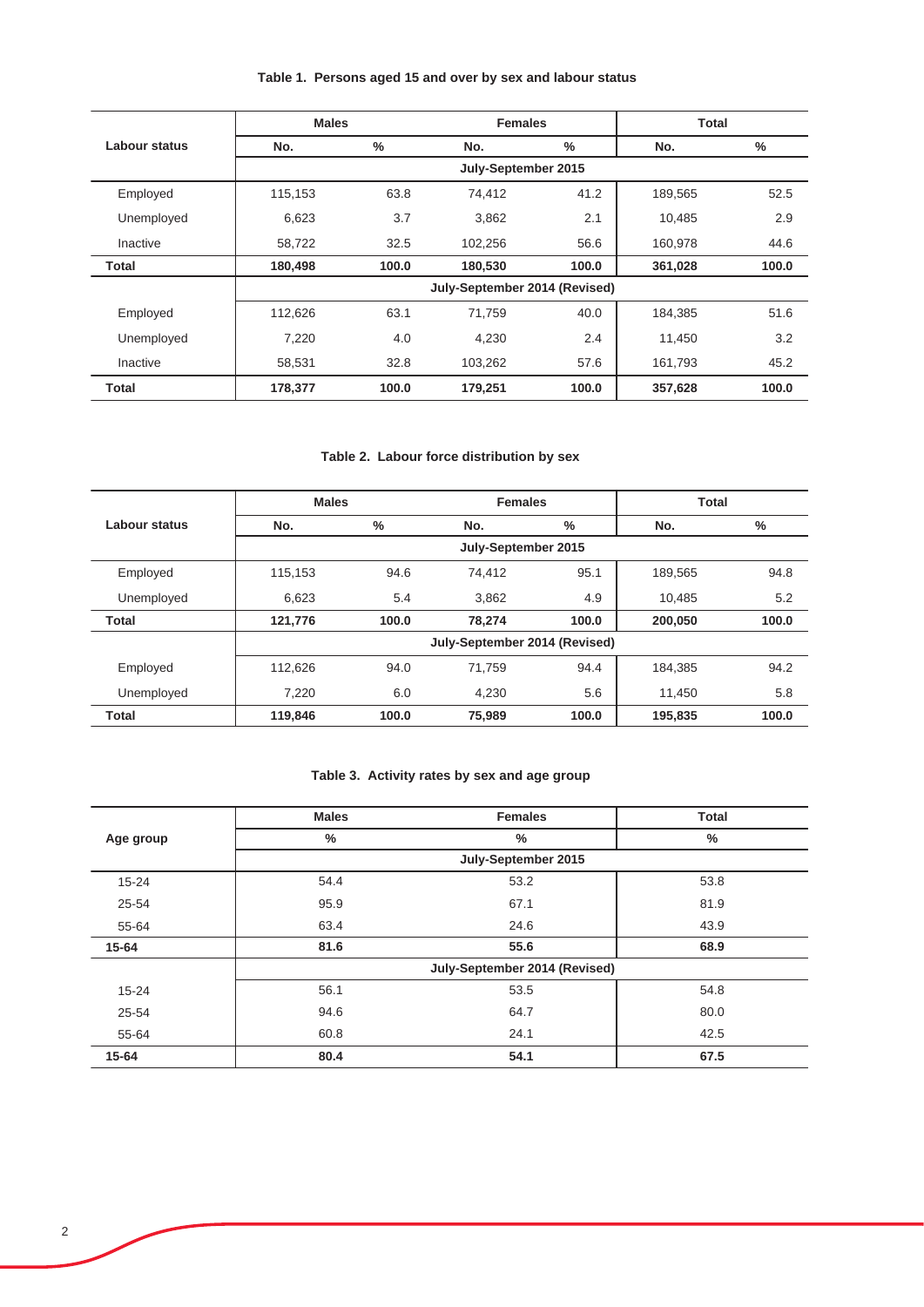# **Table 1. Persons aged 15 and over by sex and labour status**

|               | <b>Males</b> |       | <b>Females</b>                |       | <b>Total</b> |       |
|---------------|--------------|-------|-------------------------------|-------|--------------|-------|
| Labour status | No.          | %     | No.                           | $\%$  | No.          | $\%$  |
|               |              |       | July-September 2015           |       |              |       |
| Employed      | 115,153      | 63.8  | 74,412                        | 41.2  | 189.565      | 52.5  |
| Unemployed    | 6,623        | 3.7   | 3,862                         | 2.1   | 10,485       | 2.9   |
| Inactive      | 58,722       | 32.5  | 102.256                       | 56.6  | 160,978      | 44.6  |
| <b>Total</b>  | 180,498      | 100.0 | 180,530                       | 100.0 | 361,028      | 100.0 |
|               |              |       | July-September 2014 (Revised) |       |              |       |
| Employed      | 112,626      | 63.1  | 71.759                        | 40.0  | 184.385      | 51.6  |
| Unemployed    | 7,220        | 4.0   | 4,230                         | 2.4   | 11.450       | 3.2   |
| Inactive      | 58,531       | 32.8  | 103,262                       | 57.6  | 161,793      | 45.2  |
| Total         | 178,377      | 100.0 | 179,251                       | 100.0 | 357,628      | 100.0 |

# **Table 2. Labour force distribution by sex**

|               | <b>Males</b> |       | <b>Females</b>                |       | <b>Total</b> |       |
|---------------|--------------|-------|-------------------------------|-------|--------------|-------|
| Labour status | No.          | %     | No.                           | %     | No.          | %     |
|               |              |       | July-September 2015           |       |              |       |
| Employed      | 115,153      | 94.6  | 74.412                        | 95.1  | 189,565      | 94.8  |
| Unemployed    | 6,623        | 5.4   | 3,862                         | 4.9   | 10,485       | 5.2   |
| <b>Total</b>  | 121,776      | 100.0 | 78.274                        | 100.0 | 200,050      | 100.0 |
|               |              |       | July-September 2014 (Revised) |       |              |       |
| Employed      | 112,626      | 94.0  | 71.759                        | 94.4  | 184.385      | 94.2  |
| Unemployed    | 7,220        | 6.0   | 4,230                         | 5.6   | 11,450       | 5.8   |
| Total         | 119,846      | 100.0 | 75.989                        | 100.0 | 195.835      | 100.0 |

# **Table 3. Activity rates by sex and age group**

|           | <b>Males</b> | <b>Females</b>                | <b>Total</b> |
|-----------|--------------|-------------------------------|--------------|
| Age group | $\%$         | $\%$                          | %            |
|           |              | July-September 2015           |              |
| $15 - 24$ | 54.4         | 53.2                          | 53.8         |
| 25-54     | 95.9         | 67.1                          | 81.9         |
| 55-64     | 63.4         | 24.6                          | 43.9         |
| 15-64     | 81.6         | 55.6                          | 68.9         |
|           |              | July-September 2014 (Revised) |              |
| $15 - 24$ | 56.1         | 53.5                          | 54.8         |
| 25-54     | 94.6         | 64.7                          | 80.0         |
| 55-64     | 60.8         | 24.1                          | 42.5         |
| 15-64     | 80.4         | 54.1                          | 67.5         |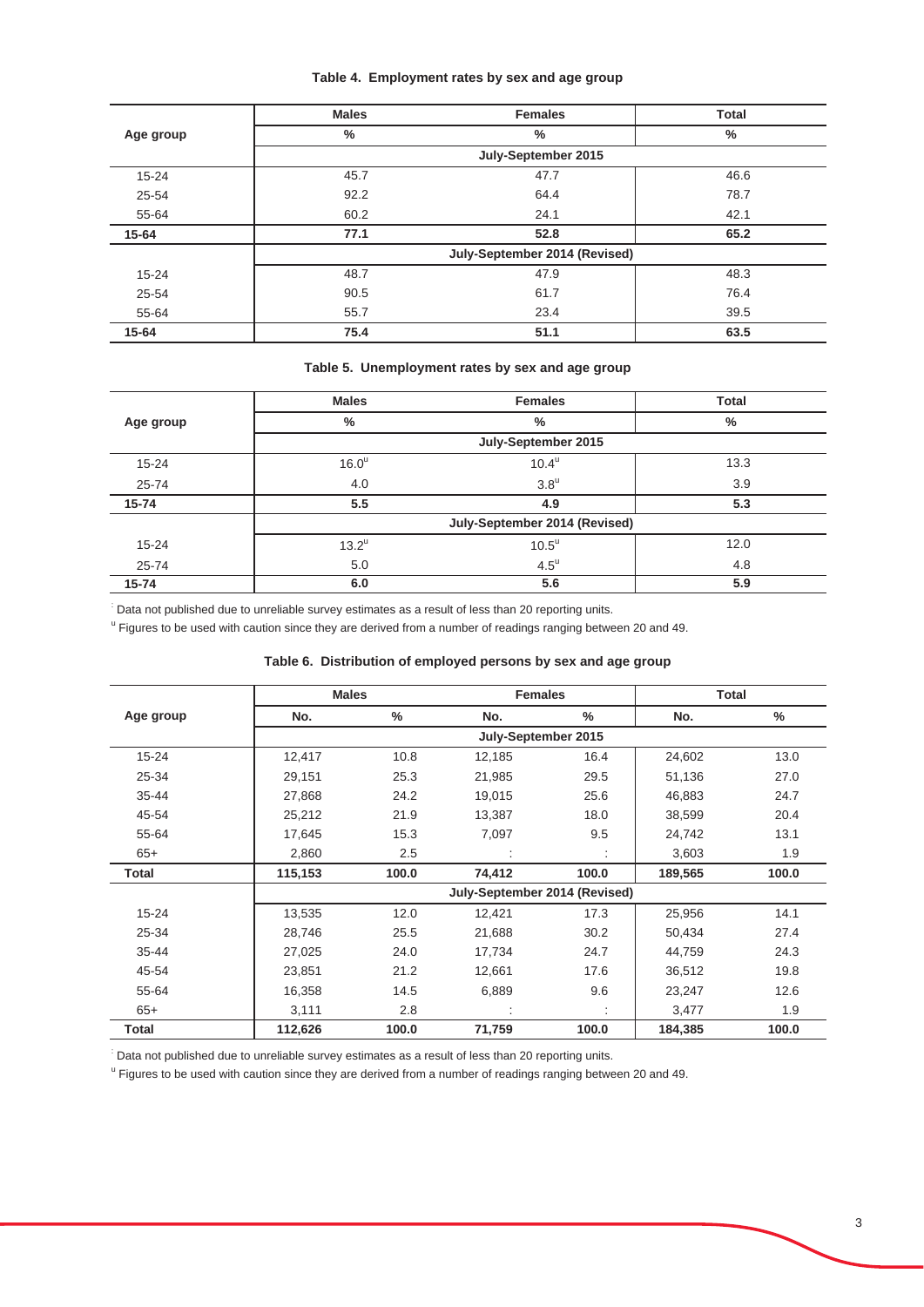## **Table 4. Employment rates by sex and age group**

|           | <b>Males</b> | <b>Females</b>                | <b>Total</b> |
|-----------|--------------|-------------------------------|--------------|
| Age group | %            | $\%$                          | %            |
|           |              | July-September 2015           |              |
| $15 - 24$ | 45.7         | 47.7                          | 46.6         |
| 25-54     | 92.2         | 64.4                          | 78.7         |
| 55-64     | 60.2         | 24.1                          | 42.1         |
| 15-64     | 77.1         | 52.8                          | 65.2         |
|           |              | July-September 2014 (Revised) |              |
| $15 - 24$ | 48.7         | 47.9                          | 48.3         |
| 25-54     | 90.5         | 61.7                          | 76.4         |
| 55-64     | 55.7         | 23.4                          | 39.5         |
| 15-64     | 75.4         | 51.1                          | 63.5         |

# **Table 5. Unemployment rates by sex and age group**

|           | <b>Males</b>        | <b>Females</b>                | <b>Total</b> |
|-----------|---------------------|-------------------------------|--------------|
| Age group | %                   | %                             | $\%$         |
|           |                     | July-September 2015           |              |
| $15 - 24$ | 16.0 <sup>u</sup>   | $10.4^{\text{u}}$             | 13.3         |
| $25 - 74$ | 4.0                 | $3.8^{\mathrm{u}}$            | 3.9          |
| $15 - 74$ | 5.5                 | 4.9                           | 5.3          |
|           |                     | July-September 2014 (Revised) |              |
| $15 - 24$ | $13.2^{\mathrm{u}}$ | $10.5^{\circ}$                | 12.0         |
| $25 - 74$ | 5.0                 | $4.5^{\mathrm{u}}$            | 4.8          |
| $15 - 74$ | 6.0                 | 5.6                           | 5.9          |

: Data not published due to unreliable survey estimates as a result of less than 20 reporting units.

<sup>u</sup> Figures to be used with caution since they are derived from a number of readings ranging between 20 and 49.

## **Table 6. Distribution of employed persons by sex and age group**

|              | <b>Males</b> |       | <b>Females</b>                |       | <b>Total</b> |               |
|--------------|--------------|-------|-------------------------------|-------|--------------|---------------|
| Age group    | No.          | %     | No.                           | %     | No.          | $\frac{0}{0}$ |
|              |              |       | July-September 2015           |       |              |               |
| $15 - 24$    | 12,417       | 10.8  | 12,185                        | 16.4  | 24,602       | 13.0          |
| 25-34        | 29,151       | 25.3  | 21,985                        | 29.5  | 51,136       | 27.0          |
| $35 - 44$    | 27,868       | 24.2  | 19,015                        | 25.6  | 46,883       | 24.7          |
| 45-54        | 25,212       | 21.9  | 13,387                        | 18.0  | 38,599       | 20.4          |
| 55-64        | 17,645       | 15.3  | 7,097                         | 9.5   | 24,742       | 13.1          |
| $65+$        | 2,860        | 2.5   |                               |       | 3,603        | 1.9           |
| <b>Total</b> | 115,153      | 100.0 | 74,412                        | 100.0 | 189,565      | 100.0         |
|              |              |       | July-September 2014 (Revised) |       |              |               |
| $15 - 24$    | 13,535       | 12.0  | 12,421                        | 17.3  | 25,956       | 14.1          |
| 25-34        | 28,746       | 25.5  | 21,688                        | 30.2  | 50,434       | 27.4          |
| 35-44        | 27,025       | 24.0  | 17,734                        | 24.7  | 44,759       | 24.3          |
| 45-54        | 23,851       | 21.2  | 12,661                        | 17.6  | 36,512       | 19.8          |
| 55-64        | 16,358       | 14.5  | 6,889                         | 9.6   | 23,247       | 12.6          |
| $65+$        | 3,111        | 2.8   |                               | ÷     | 3,477        | 1.9           |
| Total        | 112,626      | 100.0 | 71,759                        | 100.0 | 184,385      | 100.0         |

: Data not published due to unreliable survey estimates as a result of less than 20 reporting units.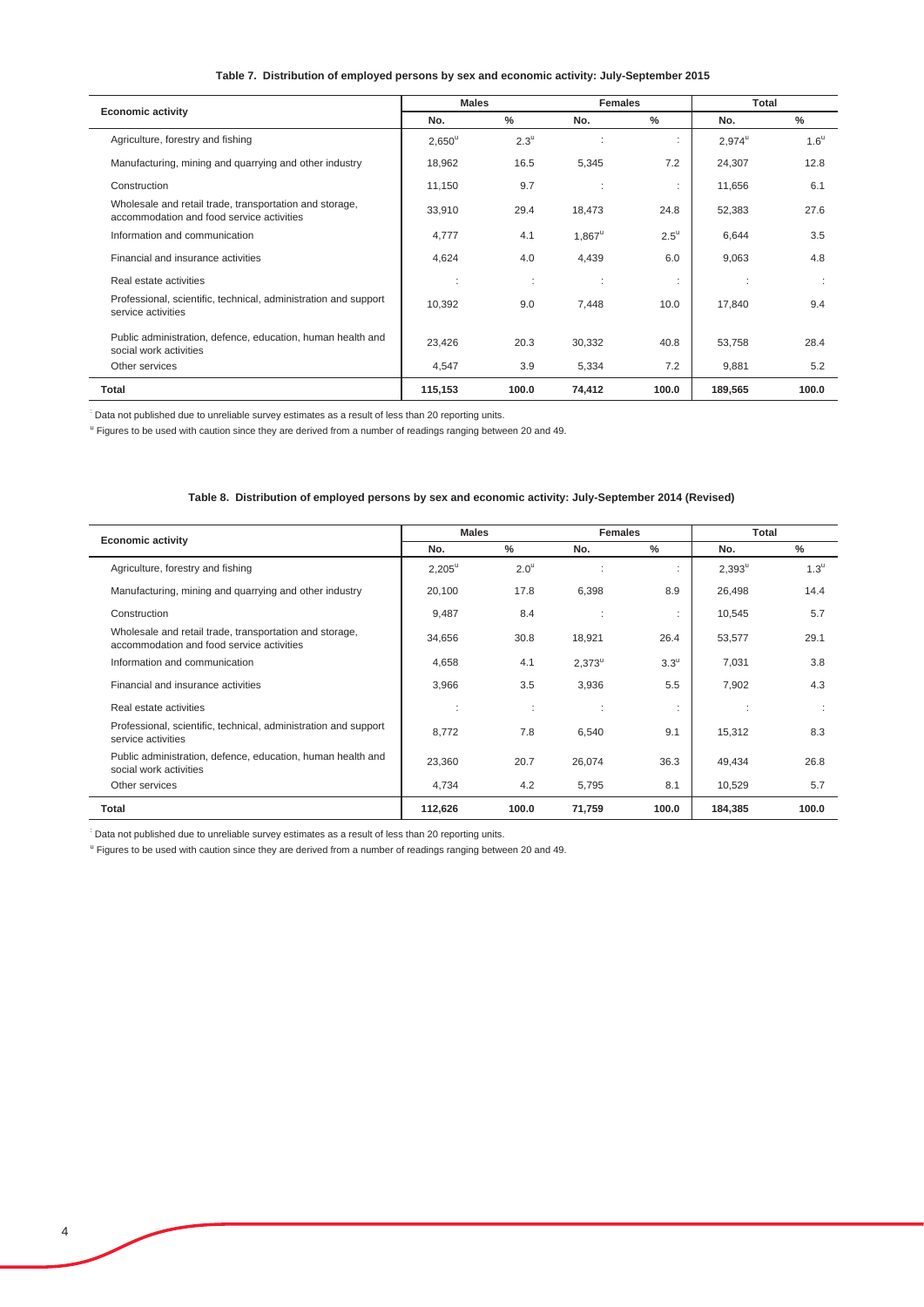#### **Table 7. Distribution of employed persons by sex and economic activity: July-September 2015**

|                                                                                                      | <b>Males</b> |                    | <b>Females</b> |                    | Total           |                    |
|------------------------------------------------------------------------------------------------------|--------------|--------------------|----------------|--------------------|-----------------|--------------------|
| <b>Economic activity</b>                                                                             | No.          | $\frac{0}{2}$      | No.            | $\%$               | No.             | $\frac{0}{2}$      |
| Agriculture, forestry and fishing                                                                    | $2,650^u$    | $2.3^{\mathrm{u}}$ |                | ÷                  | $2,974^{\circ}$ | $1.6^{\mathrm{u}}$ |
| Manufacturing, mining and quarrying and other industry                                               | 18,962       | 16.5               | 5,345          | 7.2                | 24,307          | 12.8               |
| Construction                                                                                         | 11,150       | 9.7                |                | ٠                  | 11,656          | 6.1                |
| Wholesale and retail trade, transportation and storage,<br>accommodation and food service activities | 33,910       | 29.4               | 18,473         | 24.8               | 52,383          | 27.6               |
| Information and communication                                                                        | 4,777        | 4.1                | $1,867^u$      | $2.5^{\mathrm{u}}$ | 6,644           | 3.5                |
| Financial and insurance activities                                                                   | 4,624        | 4.0                | 4,439          | 6.0                | 9,063           | 4.8                |
| Real estate activities                                                                               | ÷            | ÷                  |                | ٠<br>٠             | $\sim$          |                    |
| Professional, scientific, technical, administration and support<br>service activities                | 10,392       | 9.0                | 7,448          | 10.0               | 17,840          | 9.4                |
| Public administration, defence, education, human health and<br>social work activities                | 23,426       | 20.3               | 30,332         | 40.8               | 53,758          | 28.4               |
| Other services                                                                                       | 4,547        | 3.9                | 5,334          | 7.2                | 9,881           | 5.2                |
| Total                                                                                                | 115,153      | 100.0              | 74,412         | 100.0              | 189,565         | 100.0              |

: Data not published due to unreliable survey estimates as a result of less than 20 reporting units.

<sup>u</sup> Figures to be used with caution since they are derived from a number of readings ranging between 20 and 49.

#### **Table 8. Distribution of employed persons by sex and economic activity: July-September 2014 (Revised)**

| <b>Economic activity</b>                                                                             | <b>Males</b> |               | <b>Females</b>  |                    | Total     |                  |
|------------------------------------------------------------------------------------------------------|--------------|---------------|-----------------|--------------------|-----------|------------------|
|                                                                                                      | No.          | $\frac{0}{2}$ | No.             | $\frac{0}{2}$      | No.       | $\frac{0}{2}$    |
| Agriculture, forestry and fishing                                                                    | $2,205^u$    | $2.0^{\circ}$ |                 |                    | $2,393^u$ | 1.3 <sup>u</sup> |
| Manufacturing, mining and quarrying and other industry                                               | 20,100       | 17.8          | 6,398           | 8.9                | 26,498    | 14.4             |
| Construction                                                                                         | 9,487        | 8.4           | ÷               |                    | 10,545    | 5.7              |
| Wholesale and retail trade, transportation and storage,<br>accommodation and food service activities | 34,656       | 30.8          | 18,921          | 26.4               | 53,577    | 29.1             |
| Information and communication                                                                        | 4,658        | 4.1           | $2.373^{\circ}$ | $3.3^{\mathrm{u}}$ | 7,031     | 3.8              |
| Financial and insurance activities                                                                   | 3,966        | 3.5           | 3,936           | 5.5                | 7,902     | 4.3              |
| Real estate activities                                                                               |              | ÷             | ÷               | $\mathbf{r}$       |           | ÷                |
| Professional, scientific, technical, administration and support<br>service activities                | 8.772        | 7.8           | 6,540           | 9.1                | 15,312    | 8.3              |
| Public administration, defence, education, human health and<br>social work activities                | 23,360       | 20.7          | 26,074          | 36.3               | 49,434    | 26.8             |
| Other services                                                                                       | 4,734        | 4.2           | 5,795           | 8.1                | 10,529    | 5.7              |
| <b>Total</b>                                                                                         | 112,626      | 100.0         | 71,759          | 100.0              | 184,385   | 100.0            |

: Data not published due to unreliable survey estimates as a result of less than 20 reporting units.

<sup>u</sup> Figures to be used with caution since they are derived from a number of readings ranging between 20 and 49.

L.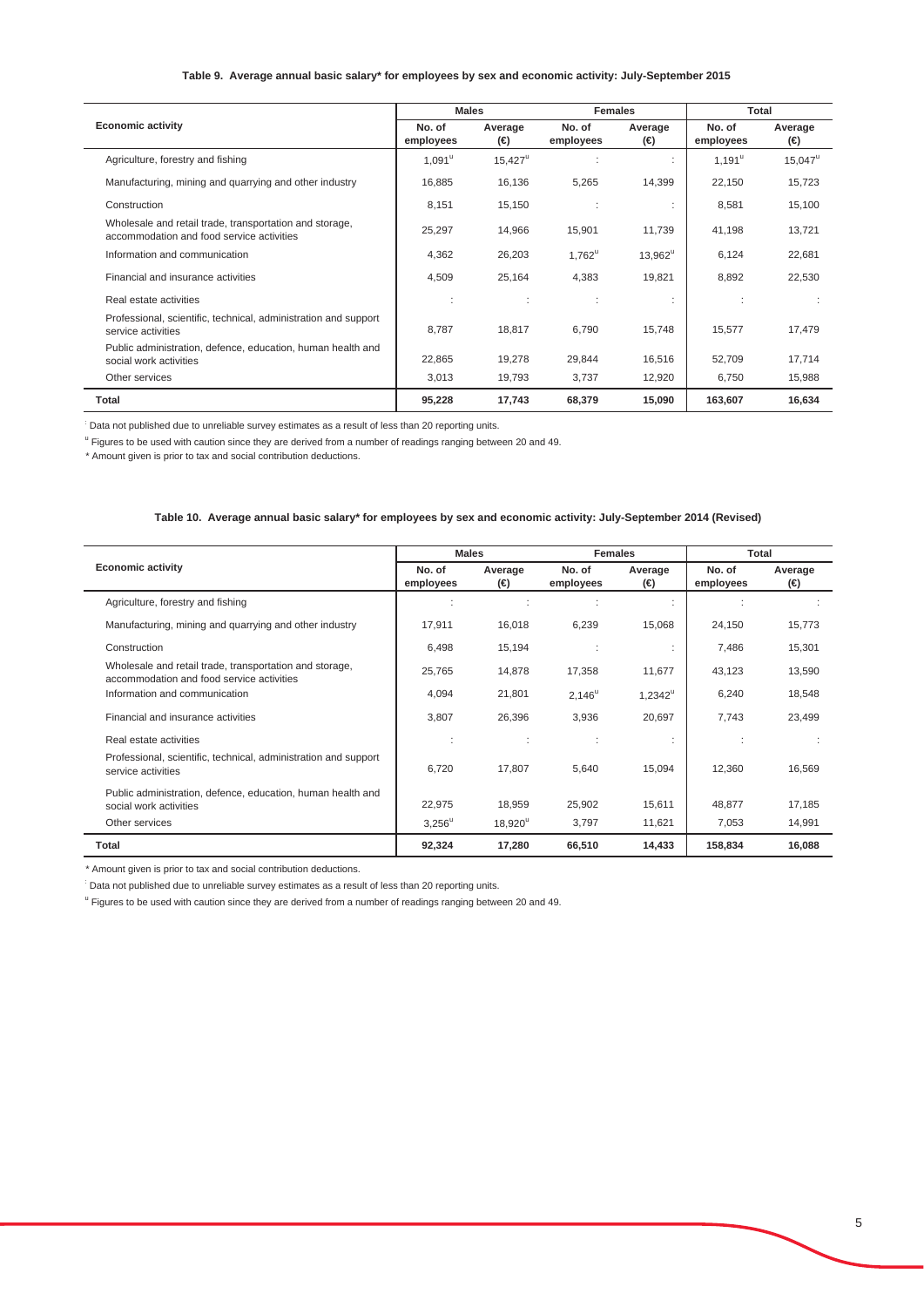#### **Table 9. Average annual basic salary\* for employees by sex and economic activity: July-September 2015**

|                                                                                                      |                     | <b>Males</b>     |                     | <b>Females</b> |                      | Total            |
|------------------------------------------------------------------------------------------------------|---------------------|------------------|---------------------|----------------|----------------------|------------------|
| <b>Economic activity</b>                                                                             | No. of<br>employees | Average<br>(⊖)   | No. of<br>employees | Average<br>Θ   | No. of<br>employees  | Average<br>(€)   |
| Agriculture, forestry and fishing                                                                    | $1,091^u$           | $15,427^{\circ}$ |                     |                | $1,191^{\mathrm{u}}$ | $15,047^{\circ}$ |
| Manufacturing, mining and quarrying and other industry                                               | 16,885              | 16,136           | 5,265               | 14,399         | 22,150               | 15,723           |
| Construction                                                                                         | 8,151               | 15,150           |                     |                | 8,581                | 15,100           |
| Wholesale and retail trade, transportation and storage,<br>accommodation and food service activities | 25,297              | 14,966           | 15,901              | 11,739         | 41,198               | 13,721           |
| Information and communication                                                                        | 4,362               | 26,203           | $1,762^u$           | $13,962^u$     | 6,124                | 22,681           |
| Financial and insurance activities                                                                   | 4,509               | 25,164           | 4,383               | 19,821         | 8,892                | 22,530           |
| Real estate activities                                                                               |                     | ÷                |                     |                |                      |                  |
| Professional, scientific, technical, administration and support<br>service activities                | 8.787               | 18,817           | 6.790               | 15.748         | 15,577               | 17,479           |
| Public administration, defence, education, human health and<br>social work activities                | 22,865              | 19,278           | 29,844              | 16,516         | 52,709               | 17,714           |
| Other services                                                                                       | 3,013               | 19,793           | 3,737               | 12,920         | 6,750                | 15,988           |
| Total                                                                                                | 95,228              | 17,743           | 68,379              | 15,090         | 163,607              | 16,634           |

: Data not published due to unreliable survey estimates as a result of less than 20 reporting units.

<sup>u</sup> Figures to be used with caution since they are derived from a number of readings ranging between 20 and 49.

\* Amount given is prior to tax and social contribution deductions.

## **Table 10. Average annual basic salary\* for employees by sex and economic activity: July-September 2014 (Revised)**

|                                                                                                      |           | <b>Males</b>     |                 | <b>Females</b>   | Total     |         |
|------------------------------------------------------------------------------------------------------|-----------|------------------|-----------------|------------------|-----------|---------|
| <b>Economic activity</b>                                                                             | No. of    | Average          | No. of          | Average          | No. of    | Average |
|                                                                                                      | employees | Θ                | employees       | Θ                | employees | (€)     |
| Agriculture, forestry and fishing                                                                    |           | ٠                |                 |                  |           |         |
| Manufacturing, mining and quarrying and other industry                                               | 17,911    | 16,018           | 6,239           | 15,068           | 24,150    | 15,773  |
| Construction                                                                                         | 6,498     | 15,194           |                 |                  | 7,486     | 15,301  |
| Wholesale and retail trade, transportation and storage,<br>accommodation and food service activities | 25,765    | 14,878           | 17,358          | 11,677           | 43,123    | 13,590  |
| Information and communication                                                                        | 4,094     | 21,801           | $2,146^{\circ}$ | $1,2342^{\circ}$ | 6,240     | 18,548  |
| Financial and insurance activities                                                                   | 3,807     | 26,396           | 3,936           | 20,697           | 7,743     | 23,499  |
| Real estate activities                                                                               | ÷         | ÷                | ÷               |                  |           |         |
| Professional, scientific, technical, administration and support<br>service activities                | 6,720     | 17,807           | 5,640           | 15,094           | 12,360    | 16,569  |
| Public administration, defence, education, human health and<br>social work activities                | 22,975    | 18,959           | 25,902          | 15,611           | 48,877    | 17,185  |
| Other services                                                                                       | $3,256^u$ | $18,920^{\circ}$ | 3,797           | 11,621           | 7,053     | 14,991  |
| Total                                                                                                | 92,324    | 17,280           | 66,510          | 14,433           | 158,834   | 16,088  |

\* Amount given is prior to tax and social contribution deductions.

: Data not published due to unreliable survey estimates as a result of less than 20 reporting units.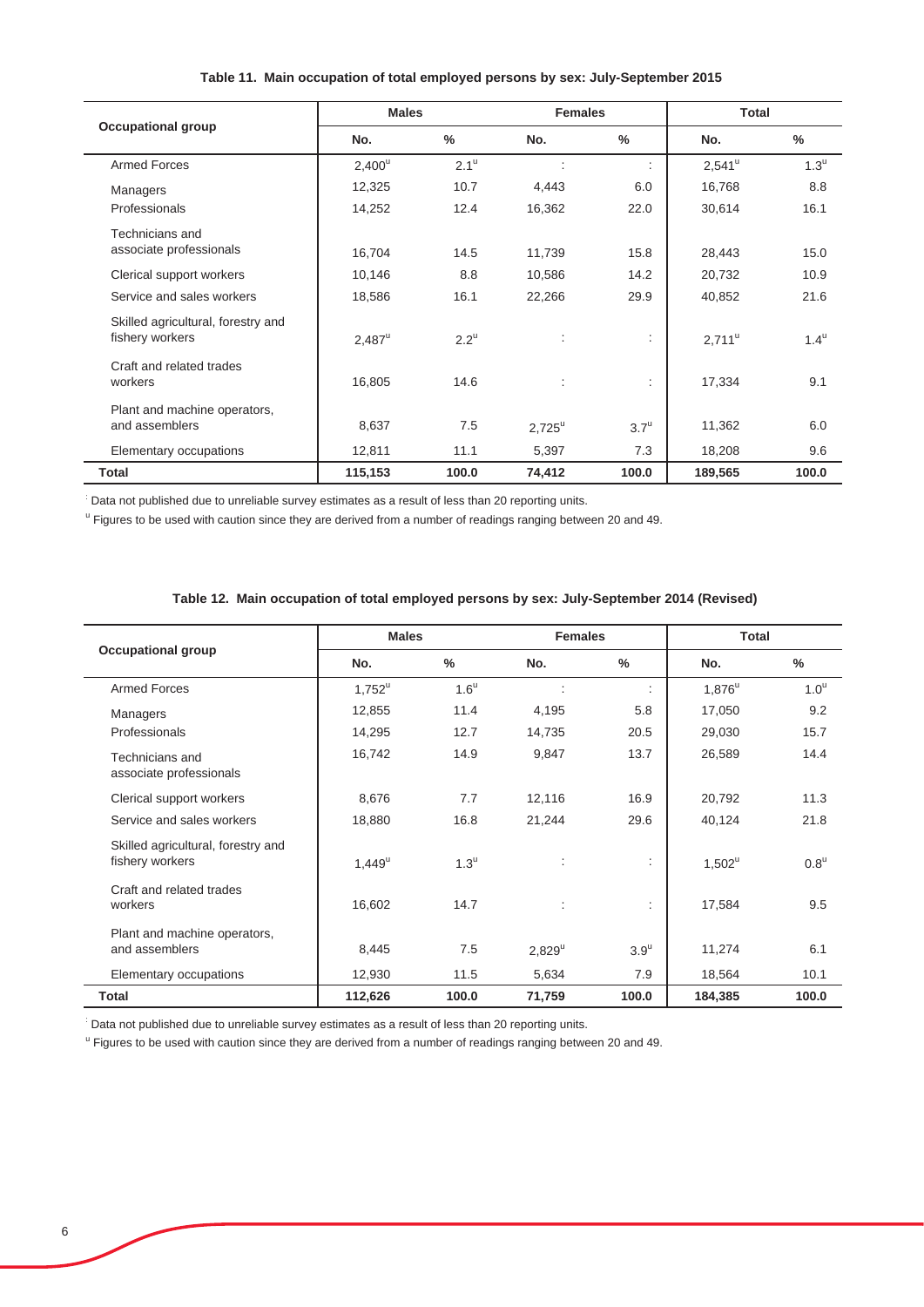|                                                       | <b>Males</b> |                    | <b>Females</b>       |                    | <b>Total</b>    |                    |
|-------------------------------------------------------|--------------|--------------------|----------------------|--------------------|-----------------|--------------------|
| <b>Occupational group</b>                             | No.          | $\frac{0}{0}$      | No.                  | %                  | No.             | $\frac{0}{2}$      |
| <b>Armed Forces</b>                                   | $2,400^u$    | $2.1^{\mathrm{u}}$ |                      | ÷                  | $2,541^{\circ}$ | $1.3^{\mathrm{u}}$ |
| Managers                                              | 12,325       | 10.7               | 4,443                | 6.0                | 16,768          | 8.8                |
| Professionals                                         | 14,252       | 12.4               | 16,362               | 22.0               | 30,614          | 16.1               |
| Technicians and<br>associate professionals            | 16,704       | 14.5               | 11,739               | 15.8               | 28,443          | 15.0               |
| Clerical support workers                              | 10,146       | 8.8                | 10,586               | 14.2               | 20,732          | 10.9               |
| Service and sales workers                             | 18,586       | 16.1               | 22,266               | 29.9               | 40,852          | 21.6               |
| Skilled agricultural, forestry and<br>fishery workers | $2,487^u$    | $2.2^{\mathrm{u}}$ | $\ddot{\phantom{a}}$ |                    | $2,711^{\circ}$ | $1.4^{\mathrm{u}}$ |
| Craft and related trades<br>workers                   | 16,805       | 14.6               | $\ddot{\phantom{a}}$ | ÷                  | 17,334          | 9.1                |
| Plant and machine operators,<br>and assemblers        | 8,637        | 7.5                | $2,725^u$            | $3.7^{\mathrm{u}}$ | 11,362          | 6.0                |
| Elementary occupations                                | 12,811       | 11.1               | 5,397                | 7.3                | 18,208          | 9.6                |
| <b>Total</b>                                          | 115,153      | 100.0              | 74,412               | 100.0              | 189,565         | 100.0              |

## **Table 11. Main occupation of total employed persons by sex: July-September 2015**

: Data not published due to unreliable survey estimates as a result of less than 20 reporting units.

<sup>u</sup> Figures to be used with caution since they are derived from a number of readings ranging between 20 and 49.

|  | Table 12. Main occupation of total employed persons by sex: July-September 2014 (Revised) |  |  |  |
|--|-------------------------------------------------------------------------------------------|--|--|--|
|  |                                                                                           |  |  |  |

| <b>Occupational group</b>                             | <b>Males</b> |                    | <b>Females</b>       |                    | <b>Total</b> |                    |
|-------------------------------------------------------|--------------|--------------------|----------------------|--------------------|--------------|--------------------|
|                                                       | No.          | $\frac{0}{0}$      | No.                  | $\frac{0}{0}$      | No.          | $\%$               |
| <b>Armed Forces</b>                                   | $1,752^u$    | $1.6^{\mathrm{u}}$ |                      |                    | $1,876^u$    | 1.0 <sup>u</sup>   |
| Managers                                              | 12,855       | 11.4               | 4,195                | 5.8                | 17,050       | 9.2                |
| Professionals                                         | 14,295       | 12.7               | 14,735               | 20.5               | 29,030       | 15.7               |
| Technicians and<br>associate professionals            | 16,742       | 14.9               | 9,847                | 13.7               | 26,589       | 14.4               |
| Clerical support workers                              | 8,676        | 7.7                | 12,116               | 16.9               | 20,792       | 11.3               |
| Service and sales workers                             | 18,880       | 16.8               | 21,244               | 29.6               | 40,124       | 21.8               |
| Skilled agricultural, forestry and<br>fishery workers | $1,449^u$    | $1.3^{\mathrm{u}}$ | $\ddot{\phantom{a}}$ | ÷                  | $1,502^u$    | $0.8^{\mathrm{u}}$ |
| Craft and related trades<br>workers                   | 16,602       | 14.7               | $\ddot{\phantom{a}}$ | ÷                  | 17,584       | 9.5                |
| Plant and machine operators,<br>and assemblers        | 8,445        | 7.5                | $2,829^u$            | $3.9^{\mathrm{u}}$ | 11,274       | 6.1                |
| Elementary occupations                                | 12,930       | 11.5               | 5,634                | 7.9                | 18,564       | 10.1               |
| Total                                                 | 112,626      | 100.0              | 71,759               | 100.0              | 184,385      | 100.0              |

: Data not published due to unreliable survey estimates as a result of less than 20 reporting units.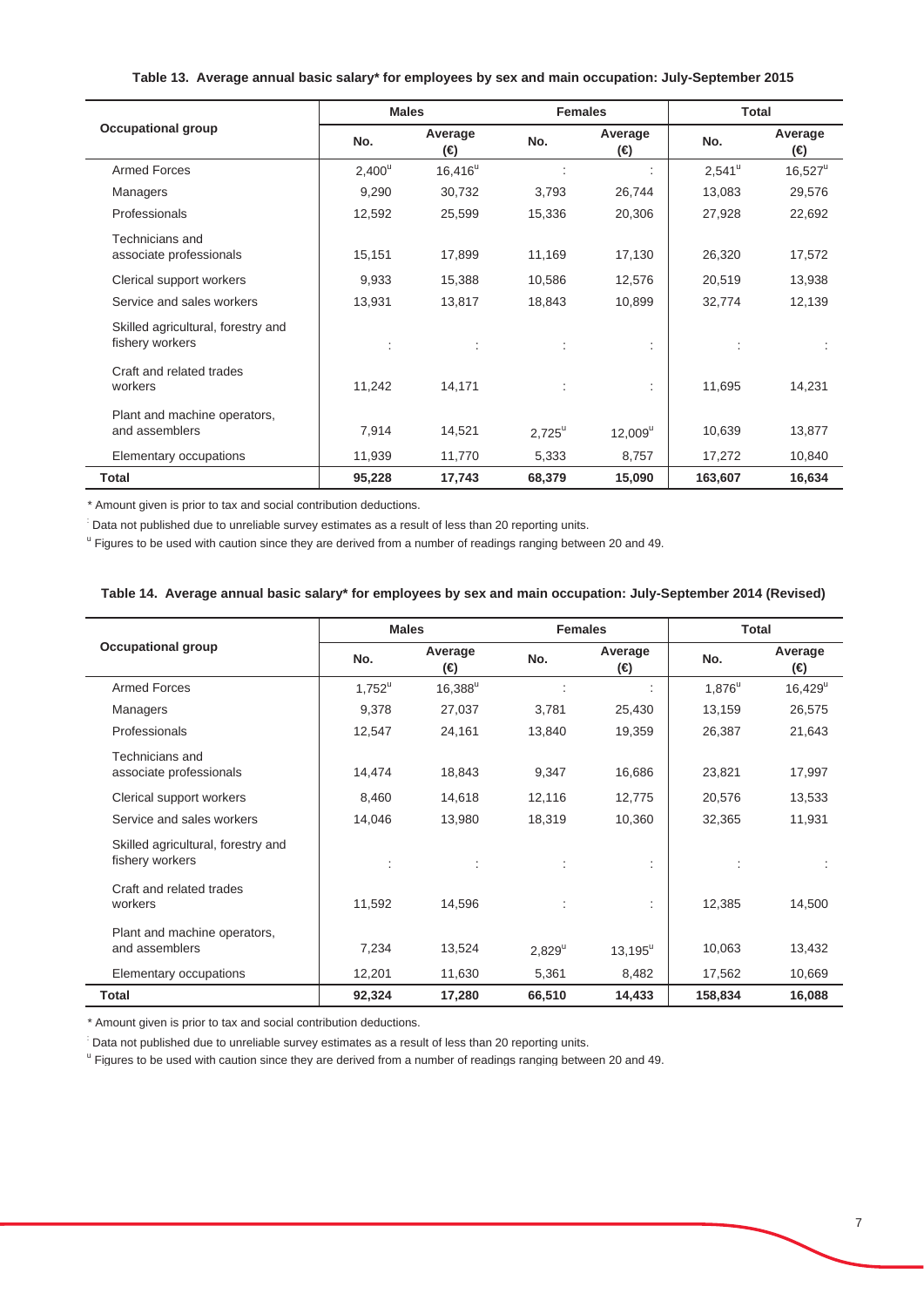## **Table 13. Average annual basic salary\* for employees by sex and main occupation: July-September 2015**

|                                                       | <b>Males</b> |                     | <b>Females</b>  |                | <b>Total</b>    |                |
|-------------------------------------------------------|--------------|---------------------|-----------------|----------------|-----------------|----------------|
| <b>Occupational group</b>                             | No.          | Average<br>$\Theta$ | No.             | Average<br>(⊖) | No.             | Average<br>(⊖) |
| <b>Armed Forces</b>                                   | $2,400^u$    | $16,416^u$          |                 |                | $2,541^{\circ}$ | $16,527^u$     |
| Managers                                              | 9,290        | 30,732              | 3,793           | 26,744         | 13,083          | 29,576         |
| Professionals                                         | 12,592       | 25,599              | 15,336          | 20,306         | 27,928          | 22,692         |
| Technicians and<br>associate professionals            | 15,151       | 17,899              | 11,169          | 17,130         | 26,320          | 17,572         |
| Clerical support workers                              | 9,933        | 15,388              | 10,586          | 12,576         | 20,519          | 13,938         |
| Service and sales workers                             | 13,931       | 13,817              | 18,843          | 10,899         | 32,774          | 12,139         |
| Skilled agricultural, forestry and<br>fishery workers |              | ÷                   |                 | ÷              |                 |                |
| Craft and related trades<br>workers                   | 11,242       | 14,171              |                 | ÷.             | 11,695          | 14,231         |
| Plant and machine operators,<br>and assemblers        | 7,914        | 14,521              | $2,725^{\circ}$ | $12,009^u$     | 10,639          | 13,877         |
| Elementary occupations                                | 11,939       | 11,770              | 5,333           | 8,757          | 17,272          | 10,840         |
| Total                                                 | 95,228       | 17,743              | 68,379          | 15,090         | 163,607         | 16,634         |

\* Amount given is prior to tax and social contribution deductions.

: Data not published due to unreliable survey estimates as a result of less than 20 reporting units.

<sup>u</sup> Figures to be used with caution since they are derived from a number of readings ranging between 20 and 49.

## **Table 14. Average annual basic salary\* for employees by sex and main occupation: July-September 2014 (Revised)**

|                                                       | <b>Males</b> |                     | <b>Females</b> |                  | Total     |                       |
|-------------------------------------------------------|--------------|---------------------|----------------|------------------|-----------|-----------------------|
| <b>Occupational group</b>                             | No.          | Average<br>$\Theta$ | No.            | Average<br>(⊖)   | No.       | Average<br>(⊖)        |
| Armed Forces                                          | $1,752^u$    | $16,388^u$          |                |                  | $1,876^u$ | $16,429^{\mathrm{u}}$ |
| Managers                                              | 9,378        | 27,037              | 3,781          | 25,430           | 13,159    | 26,575                |
| Professionals                                         | 12,547       | 24,161              | 13,840         | 19,359           | 26,387    | 21,643                |
| Technicians and<br>associate professionals            | 14,474       | 18,843              | 9,347          | 16,686           | 23,821    | 17,997                |
| Clerical support workers                              | 8,460        | 14,618              | 12,116         | 12,775           | 20,576    | 13,533                |
| Service and sales workers                             | 14,046       | 13,980              | 18,319         | 10,360           | 32,365    | 11,931                |
| Skilled agricultural, forestry and<br>fishery workers | ÷            | ÷                   | ÷              | ÷                |           |                       |
| Craft and related trades<br>workers                   | 11,592       | 14,596              |                |                  | 12,385    | 14,500                |
| Plant and machine operators,<br>and assemblers        | 7,234        | 13,524              | $2,829^u$      | $13,195^{\rm u}$ | 10,063    | 13,432                |
| Elementary occupations                                | 12,201       | 11,630              | 5,361          | 8,482            | 17,562    | 10,669                |
| <b>Total</b>                                          | 92,324       | 17,280              | 66,510         | 14,433           | 158,834   | 16,088                |

\* Amount given is prior to tax and social contribution deductions.

: Data not published due to unreliable survey estimates as a result of less than 20 reporting units.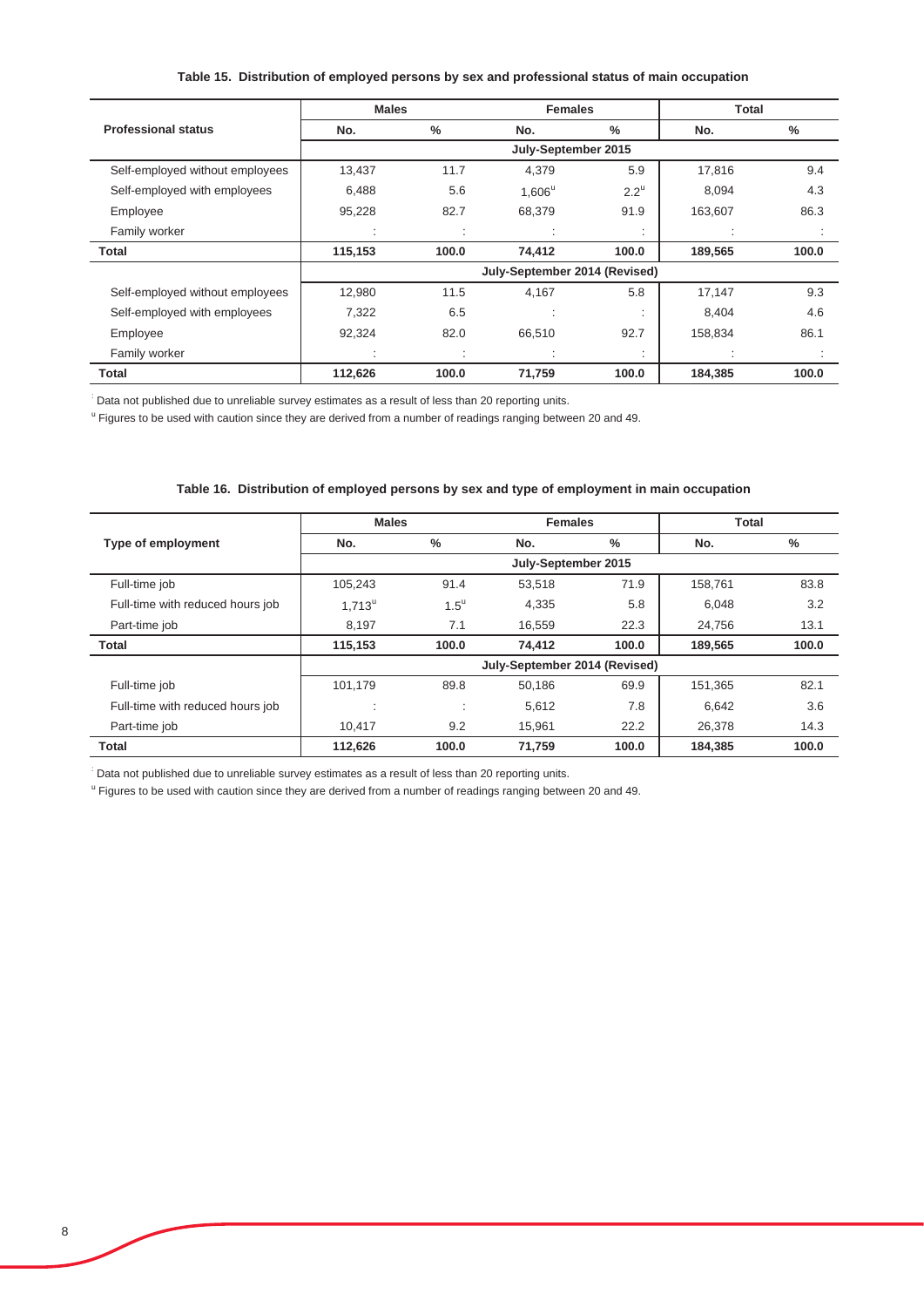## **Table 15. Distribution of employed persons by sex and professional status of main occupation**

|                                 | <b>Males</b> |               | <b>Females</b>                |                    | <b>Total</b> |               |
|---------------------------------|--------------|---------------|-------------------------------|--------------------|--------------|---------------|
| <b>Professional status</b>      | No.          | $\frac{0}{0}$ | No.                           | $\frac{0}{0}$      | No.          | $\frac{0}{0}$ |
|                                 |              |               |                               |                    |              |               |
| Self-employed without employees | 13,437       | 11.7          | 4,379                         | 5.9                | 17,816       | 9.4           |
| Self-employed with employees    | 6.488        | 5.6           | $1.606^u$                     | $2.2^{\mathrm{u}}$ | 8.094        | 4.3           |
| Employee                        | 95,228       | 82.7          | 68,379                        | 91.9               | 163,607      | 86.3          |
| Family worker                   | $\cdot$      |               |                               |                    |              |               |
| Total                           | 115,153      | 100.0         | 74,412                        | 100.0              | 189,565      | 100.0         |
|                                 |              |               | July-September 2014 (Revised) |                    |              |               |
| Self-employed without employees | 12,980       | 11.5          | 4,167                         | 5.8                | 17,147       | 9.3           |
| Self-employed with employees    | 7,322        | 6.5           |                               |                    | 8.404        | 4.6           |
| Employee                        | 92,324       | 82.0          | 66,510                        | 92.7               | 158,834      | 86.1          |
| Family worker                   |              |               |                               | ٠                  |              |               |
| Total                           | 112,626      | 100.0         | 71,759                        | 100.0              | 184.385      | 100.0         |

: Data not published due to unreliable survey estimates as a result of less than 20 reporting units.

<sup>u</sup> Figures to be used with caution since they are derived from a number of readings ranging between 20 and 49.

#### **Table 16. Distribution of employed persons by sex and type of employment in main occupation**

|                                  | <b>Males</b><br><b>Females</b> |                    |                               |       | <b>Total</b> |       |
|----------------------------------|--------------------------------|--------------------|-------------------------------|-------|--------------|-------|
| Type of employment               | No.                            | %                  | No.                           | %     | No.          | $\%$  |
|                                  | July-September 2015            |                    |                               |       |              |       |
| Full-time job                    | 105,243                        | 91.4               | 53,518                        | 71.9  | 158,761      | 83.8  |
| Full-time with reduced hours job | $1.713^u$                      | $1.5^{\mathrm{u}}$ | 4,335                         | 5.8   | 6.048        | 3.2   |
| Part-time job                    | 8,197                          | 7.1                | 16.559                        | 22.3  | 24.756       | 13.1  |
| <b>Total</b>                     | 115,153                        | 100.0              | 74.412                        | 100.0 | 189,565      | 100.0 |
|                                  |                                |                    | July-September 2014 (Revised) |       |              |       |
| Full-time job                    | 101,179                        | 89.8               | 50,186                        | 69.9  | 151,365      | 82.1  |
| Full-time with reduced hours job | ٠<br>٠                         | ٠<br>٠             | 5,612                         | 7.8   | 6.642        | 3.6   |
| Part-time job                    | 10.417                         | 9.2                | 15.961                        | 22.2  | 26,378       | 14.3  |
| <b>Total</b>                     | 112,626                        | 100.0              | 71.759                        | 100.0 | 184.385      | 100.0 |

: Data not published due to unreliable survey estimates as a result of less than 20 reporting units.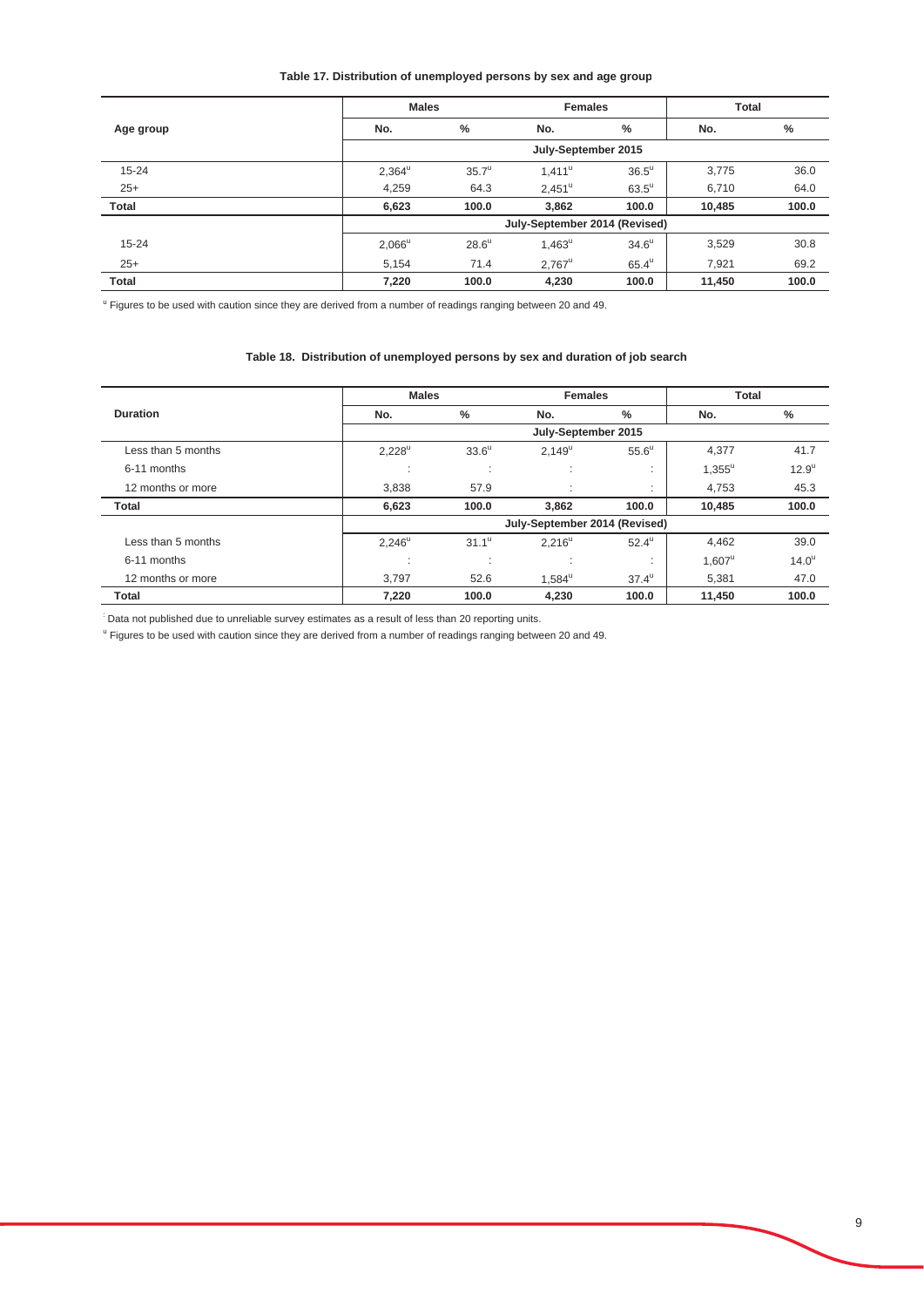## **Table 17. Distribution of unemployed persons by sex and age group**

|              | <b>Males</b><br><b>Females</b> |                |                 |                     | <b>Total</b> |               |
|--------------|--------------------------------|----------------|-----------------|---------------------|--------------|---------------|
| Age group    | No.                            | %              | No.             | %                   | No.          | $\frac{0}{0}$ |
|              | July-September 2015            |                |                 |                     |              |               |
| $15 - 24$    | $2,364^{\mathrm{u}}$           | $35.7^{\circ}$ | $1,411^u$       | $36.5^{\circ}$      | 3,775        | 36.0          |
| $25+$        | 4,259                          | 64.3           | $2,451^{\circ}$ | $63.5^{\mathrm{u}}$ | 6,710        | 64.0          |
| Total        | 6,623                          | 100.0          | 3,862           | 100.0               | 10,485       | 100.0         |
|              | July-September 2014 (Revised)  |                |                 |                     |              |               |
| $15 - 24$    | $2,066^{\circ}$                | $28.6^u$       | $1,463^u$       | $34.6^{\mathrm{u}}$ | 3,529        | 30.8          |
| $25+$        | 5,154                          | 71.4           | $2,767^u$       | $65.4^{\mathrm{u}}$ | 7,921        | 69.2          |
| <b>Total</b> | 7,220                          | 100.0          | 4,230           | 100.0               | 11,450       | 100.0         |

<sup>u</sup> Figures to be used with caution since they are derived from a number of readings ranging between 20 and 49.

#### **Table 18. Distribution of unemployed persons by sex and duration of job search**

|                    | <b>Males</b>    |                               | <b>Females</b>                |                   | <b>Total</b>    |                |
|--------------------|-----------------|-------------------------------|-------------------------------|-------------------|-----------------|----------------|
| <b>Duration</b>    | No.             | $\frac{0}{0}$                 | No.                           | $\%$              | No.             | $\frac{0}{0}$  |
|                    |                 |                               | July-September 2015           |                   |                 |                |
| Less than 5 months | $2,228^u$       | $33.6^{\circ}$                | $2.149^u$                     | $55.6^{\circ}$    | 4,377           | 41.7           |
| 6-11 months        | $\cdot$         | ٠<br>$\cdot$                  | ٠.<br>$\mathbf{r}$            | $\mathbf{r}$      | $1,355^{\circ}$ | $12.9^{\circ}$ |
| 12 months or more  | 3,838           | 57.9                          | ٠<br>×.                       | ٠<br>$\mathbf{r}$ | 4,753           | 45.3           |
| <b>Total</b>       | 6,623           | 100.0                         | 3,862                         | 100.0             | 10,485          | 100.0          |
|                    |                 |                               | July-September 2014 (Revised) |                   |                 |                |
| Less than 5 months | $2,246^{\circ}$ | $31.1^{\circ}$                | $2,216^u$                     | $52.4^{\circ}$    | 4,462           | 39.0           |
| 6-11 months        | - 20            | ٠<br>$\overline{\phantom{a}}$ | ٠<br>$\mathbf{r}$             | $\sim$            | $1.607^{\circ}$ | $14.0^{\circ}$ |
| 12 months or more  | 3.797           | 52.6                          | $1.584^{\circ}$               | $37.4^{\circ}$    | 5.381           | 47.0           |
| <b>Total</b>       | 7,220           | 100.0                         | 4,230                         | 100.0             | 11,450          | 100.0          |

: Data not published due to unreliable survey estimates as a result of less than 20 reporting units.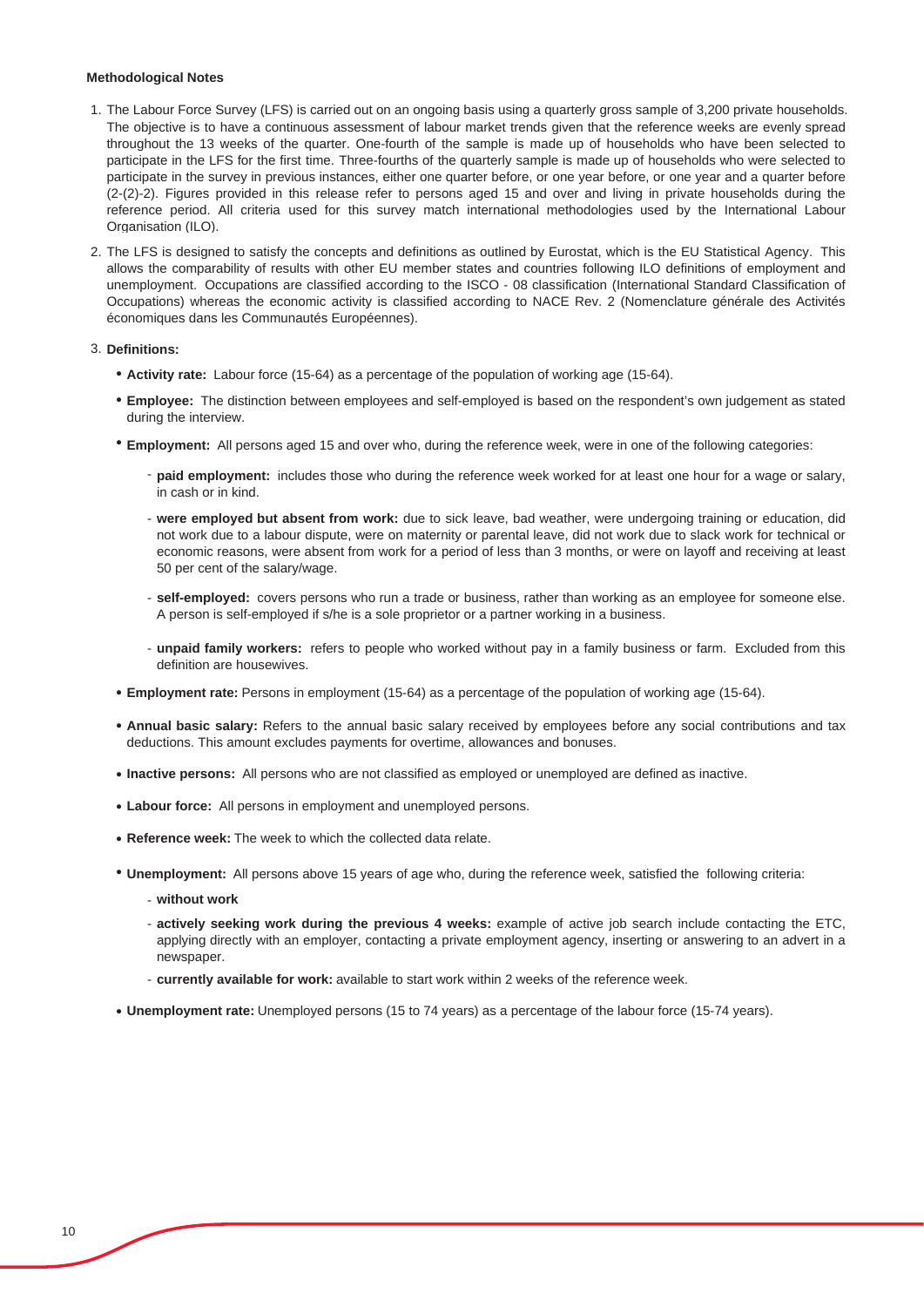#### **Methodological Notes**

- 1. The Labour Force Survey (LFS) is carried out on an ongoing basis using a quarterly gross sample of 3,200 private households. The objective is to have a continuous assessment of labour market trends given that the reference weeks are evenly spread throughout the 13 weeks of the quarter. One-fourth of the sample is made up of households who have been selected to participate in the LFS for the first time. Three-fourths of the quarterly sample is made up of households who were selected to participate in the survey in previous instances, either one quarter before, or one year before, or one year and a quarter before (2-(2)-2). Figures provided in this release refer to persons aged 15 and over and living in private households during the reference period. All criteria used for this survey match international methodologies used by the International Labour Organisation (ILO).
- 2. The LFS is designed to satisfy the concepts and definitions as outlined by Eurostat, which is the EU Statistical Agency. This allows the comparability of results with other EU member states and countries following ILO definitions of employment and unemployment. Occupations are classified according to the ISCO - 08 classification (International Standard Classification of Occupations) whereas the economic activity is classified according to NACE Rev. 2 (Nomenclature générale des Activités économiques dans les Communautés Européennes).

#### 3. **Definitions:**

- Ɣ **Activity rate:** Labour force (15-64) as a percentage of the population of working age (15-64).
- **Employee:** The distinction between employees and self-employed is based on the respondent's own judgement as stated during the interview.
- Ɣ **Employment:** All persons aged 15 and over who, during the reference week, were in one of the following categories:
	- **paid employment:** includes those who during the reference week worked for at least one hour for a wage or salary, in cash or in kind.
	- **were employed but absent from work:** due to sick leave, bad weather, were undergoing training or education, did not work due to a labour dispute, were on maternity or parental leave, did not work due to slack work for technical or economic reasons, were absent from work for a period of less than 3 months, or were on layoff and receiving at least 50 per cent of the salary/wage.
	- **self-employed:** covers persons who run a trade or business, rather than working as an employee for someone else. A person is self-employed if s/he is a sole proprietor or a partner working in a business.
	- **unpaid family workers:** refers to people who worked without pay in a family business or farm. Excluded from this definition are housewives.
- Ɣ **Employment rate:** Persons in employment (15-64) as a percentage of the population of working age (15-64).
- Ɣ **Annual basic salary:** Refers to the annual basic salary received by employees before any social contributions and tax deductions. This amount excludes payments for overtime, allowances and bonuses.
- Ɣ **Inactive persons:** All persons who are not classified as employed or unemployed are defined as inactive.
- Ɣ **Labour force:** All persons in employment and unemployed persons.
- **Reference week:** The week to which the collected data relate.
- Ɣ **Unemployment:** All persons above 15 years of age who, during the reference week, satisfied the following criteria:
	- **without work**
	- **actively seeking work during the previous 4 weeks:** example of active job search include contacting the ETC, applying directly with an employer, contacting a private employment agency, inserting or answering to an advert in a newspaper.
	- **currently available for work:** available to start work within 2 weeks of the reference week.
- Ɣ **Unemployment rate:** Unemployed persons (15 to 74 years) as a percentage of the labour force (15-74 years).